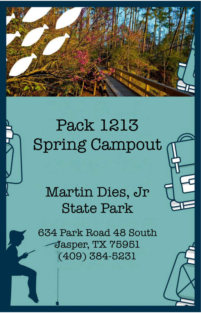

# Pack 1213 Spring Campout

## Martin Dies, Jr State Park

634 Park Road 48 South Jasper, TX 75951 (409) 384-5231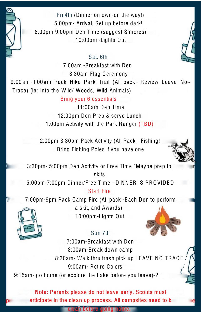

Fri 4th (Dinner on own-on the way!) 5:00pm- Arrival, Set up before dark! 8:00pm-9:00pm Den Time (suggest S'mores) 10:00pm -Lights Out

### $\star$  Sat. 6th (

7:00am -Bre akfast with Den 8:30am-Flag Ceremony

9:00 am-II:00 am Pack Hike Park Trail (All pack - Review Leave No-Trace) (ie: Into the Wild/ Woods, Wild Animals)

Bring your 6 essentials

11:00am Den Time 12:00pm Den Prep & serve Lunch 1:00pm Activity with the Park Ranger (TBD)

2:00pm-3:30pm Pack Activity (All Pack - Fishing! Bring Fishing Poles if you have one



3:30pm- 5:00pm Den Activity or Free Time \*Maybe prep fo skits

5:00pm-7:00pm Dinner/Free Time - DINNER IS PROVIDED Start Fire

7:00pm-9pm Pack Camp Fire (All pack -E ach Den to perform



a skit, and Awards). 10:00pm-Lights Out

## Sun 7th



7:00am-Bre akfast with Den 8:00am-Bre ak down camp 8:30am- Walk thru trash pick up LEAVE NO TRACE 9:00am- Retire Colors / 9:15am- go home (or explore the Lake before you leave)-?

Note: Parents please do not leave early. Scouts must articipate in the clean up process. All campsites need to b

cle an before going home.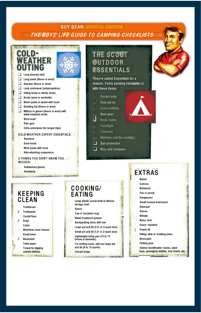## **GUY GEAR: SPECIAL EDITION** THE BOYS' LIFE GUIDE TO CAMPING CHECKLISTS

### rni n **FATHER** n eleeved chirt Long pants (fleece or wool) Sweater (fleece or wool) Long underwear (polypropylene;  $\Box$  Hiking boots or sturdy shoes Socks (wool or synthetic)

*Intrastructure* 

- Warm parka or jacket with hood
- Stocking hat (fleece or wool)
- Mittens or gloves (fleece or wool) with<br>water-resistant shells Wool scarf
	- Rain gear

Extra underwear (for longer trips)

#### **COLD-WEATHER EXPERT ESSENTIALS: :**

**Bandana** Sorel boots Wind parka with hood Side-attaching suspenders

2 THINGS YOU DIDN'T KNOW YOU

NEEDED:

Rubberized gloves Headlamp

## **KEEPING** CLEAN

Toothbrush  $\cdot$ Toothpaste **Dental floss** Soap J Comb Waterless hand cleaner **Small towel** 

.I Washcloth **Tollet paper Trowel for digging** cathole latrines

## COOKING/ EATING

Large plastic cereal bowl or kitchen storage bowl Spoon **Cup or Insulated mug** Water treatment system **Backpacking stove with fuel** Large pot and lid (2.5- or 3-quart size) Small pot and Ild (1.5- or 2-quart size) Lightweight frying pan (10 to 12)<br>Inches in diameter)

For melting snow, add one large pot and lid (6 to 10 quarts) Hot-pot tongs

## **THE SCOUT** OUTDOOR **ESSENTIALS**

They're called Essentials for a reason. Every packing list starts with these items.

- Pocket knife First-aid kit Extra clothing
- Rain gear Water bottle
- Flashlight

d

- **Trail food**
- Matches and fire starter
- Sun protection
- $\Box$  Map and compass

## **EXTRAS**

- Watch Camera
- **Notebook**
- Pen or pencil
- **Sunglasses**
- Small musical instrument
- Swimsult Gloves
- Whistle
- **Nvion cord**
- Insect repellent
- **Repair kit**
- Hiking stick or trekking poles
- **Binoculars**
- **Fishing gear**
- Animal Identification books, plant keys, geological studies, star charts etc.